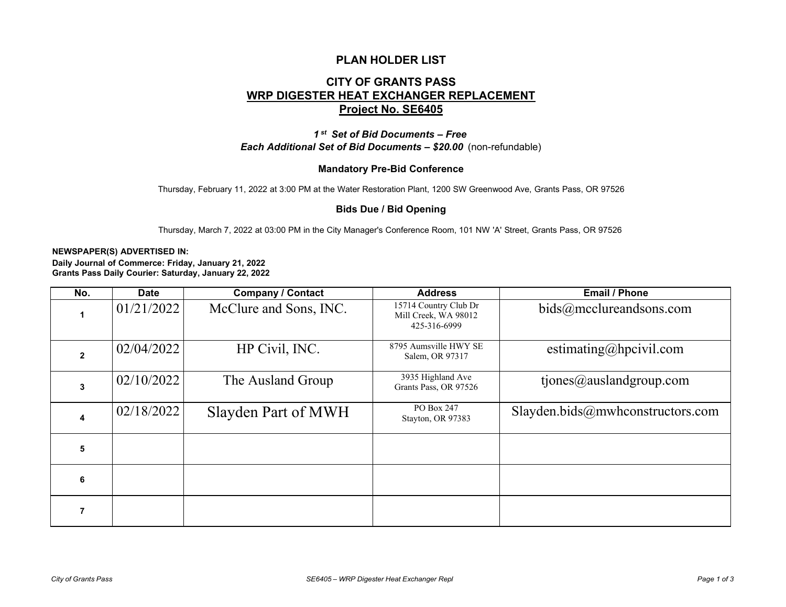## **PLAN HOLDER LIST**

# **CITY OF GRANTS PASS WRP DIGESTER HEAT EXCHANGER REPLACEMENT Project No. SE6405**

*1 st Set of Bid Documents – Free Each Additional Set of Bid Documents – \$20.00* (non-refundable)

### **Mandatory Pre-Bid Conference**

Thursday, February 11, 2022 at 3:00 PM at the Water Restoration Plant, 1200 SW Greenwood Ave, Grants Pass, OR 97526

#### **Bids Due / Bid Opening**

Thursday, March 7, 2022 at 03:00 PM in the City Manager's Conference Room, 101 NW 'A' Street, Grants Pass, OR 97526

#### **NEWSPAPER(S) ADVERTISED IN:**

**Daily Journal of Commerce: Friday, January 21, 2022 Grants Pass Daily Courier: Saturday, January 22, 2022**

| No.            | <b>Date</b> | <b>Company / Contact</b> | <b>Address</b>                                                | <b>Email / Phone</b>             |
|----------------|-------------|--------------------------|---------------------------------------------------------------|----------------------------------|
|                | 01/21/2022  | McClure and Sons, INC.   | 15714 Country Club Dr<br>Mill Creek, WA 98012<br>425-316-6999 | bids@mcclureandsons.com          |
| $\overline{2}$ | 02/04/2022  | HP Civil, INC.           | 8795 Aumsville HWY SE<br>Salem, OR 97317                      | estimating@hpcivil.com           |
| 3              | 02/10/2022  | The Ausland Group        | 3935 Highland Ave<br>Grants Pass, OR 97526                    | tiones@auslandgroup.com          |
| 4              | 02/18/2022  | Slayden Part of MWH      | PO Box 247<br>Stayton, OR 97383                               | Slayden.bids@mwhconstructors.com |
| 5              |             |                          |                                                               |                                  |
| 6              |             |                          |                                                               |                                  |
|                |             |                          |                                                               |                                  |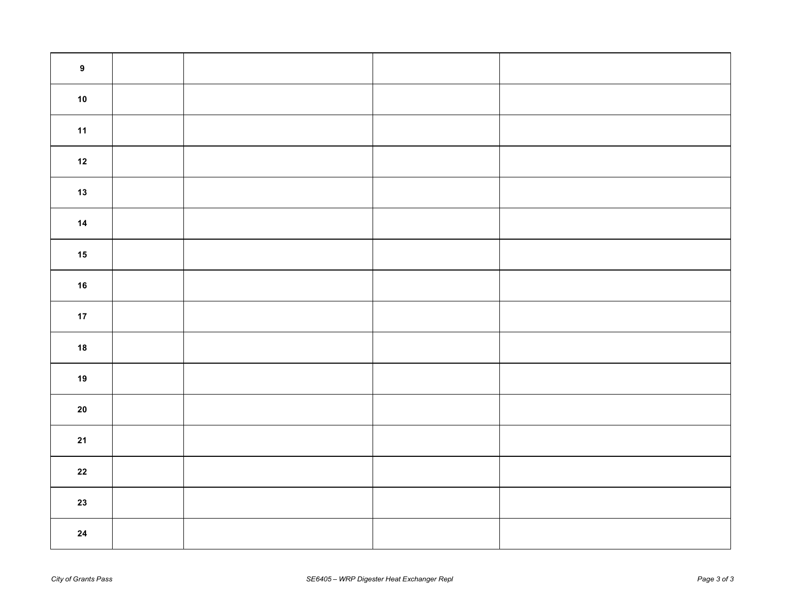| $\boldsymbol{9}$ |  |  |
|------------------|--|--|
| $10$             |  |  |
| 11               |  |  |
| $12$             |  |  |
| $13$             |  |  |
| $14$             |  |  |
| 15               |  |  |
| $16$             |  |  |
| $17$             |  |  |
| 18               |  |  |
| $19$             |  |  |
| ${\bf 20}$       |  |  |
| $21$             |  |  |
| ${\bf 22}$       |  |  |
| 23               |  |  |
| 24               |  |  |